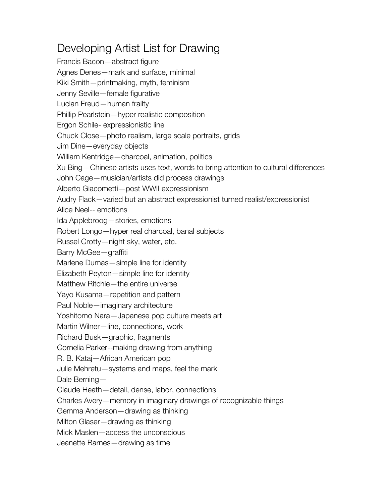## Developing Artist List for Drawing

Francis Bacon—abstract figure Agnes Denes—mark and surface, minimal Kiki Smith—printmaking, myth, feminism Jenny Seville—female figurative Lucian Freud—human frailty Phillip Pearlstein—hyper realistic composition Ergon Schile- expressionistic line Chuck Close—photo realism, large scale portraits, grids Jim Dine—everyday objects William Kentridge—charcoal, animation, politics Xu Bing—Chinese artists uses text, words to bring attention to cultural differences John Cage—musician/artists did process drawings Alberto Giacometti—post WWII expressionism Audry Flack—varied but an abstract expressionist turned realist/expressionist Alice Neel-- emotions Ida Applebroog—stories, emotions Robert Longo—hyper real charcoal, banal subjects Russel Crotty—night sky, water, etc. Barry McGee—graffiti Marlene Dumas—simple line for identity Elizabeth Peyton—simple line for identity Matthew Ritchie—the entire universe Yayo Kusama—repetition and pattern Paul Noble—imaginary architecture Yoshitomo Nara—Japanese pop culture meets art Martin Wilner—line, connections, work Richard Busk—graphic, fragments Cornelia Parker--making drawing from anything R. B. Kataj—African American pop Julie Mehretu—systems and maps, feel the mark Dale Berning— Claude Heath—detail, dense, labor, connections Charles Avery—memory in imaginary drawings of recognizable things Gemma Anderson—drawing as thinking Milton Glaser—drawing as thinking Mick Maslen—access the unconscious Jeanette Barnes—drawing as time